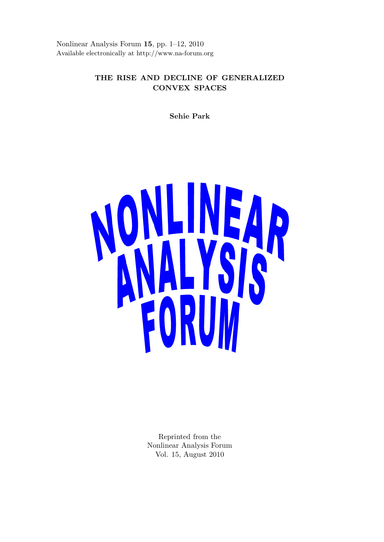Nonlinear Analysis Forum **15**, pp. 1–12, 2010 Available electronically at http://www.na-forum.org

# **THE RISE AND DECLINE OF GENERALIZED CONVEX SPACES**

**Sehie Park**



Reprinted from the Nonlinear Analysis Forum Vol. 15, August 2010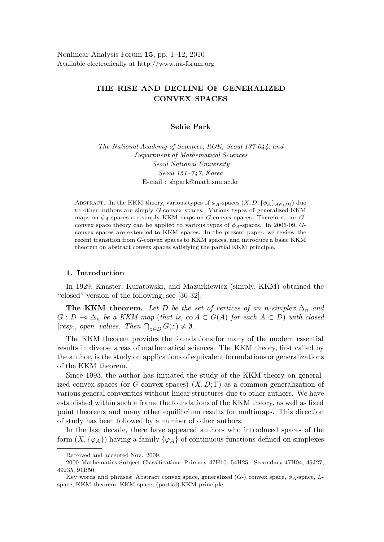# **THE RISE AND DECLINE OF GENERALIZED CONVEX SPACES**

## **Sehie Park**

*The National Academy of Sciences, ROK, Seoul 137-044; and Department of Mathematical Sciences Seoul National University Seoul 151–747, Korea* E-mail : shpark@math.snu.ac.kr

ABSTRACT. In the KKM theory, various types of  $\phi_A$ -spaces  $(X, D; {\phi_A}_{A \in (D)})$  due to other authors are simply G-convex spaces. Various types of generalized KKM maps on  $\phi_A$ -spaces are simply KKM maps on G-convex spaces. Therefore, our Gconvex space theory can be applied to various types of  $\phi_A$ -spaces. In 2006-09, Gconvex spaces are extended to KKM spaces. In the present paper, we review the recent transition from G-convex spaces to KKM spaces, and introduce a basic KKM theorem on abstract convex spaces satisfying the partial KKM principle.

# **1. Introduction**

In 1929, Knaster, Kuratowski, and Mazurkiewicz (simply, KKM) obtained the "closed" version of the following; see [30-32].

**The KKM theorem.** Let *D* be the set of vertices of an *n*-simplex  $\Delta_n$  and  $G: D \multimap \Delta_n$  be a KKM map (that is, co  $A \subset G(A)$  for each  $A \subset D$ ) with closed  $[resp., open]$ <sup>n</sup> values. Then  $\bigcap_{z \in D} G(z) \neq \emptyset$ .

The KKM theorem provides the foundations for many of the modern essential results in diverse areas of mathematical sciences. The KKM theory, first called by the author, is the study on applications of equivalent formulations or generalizations of the KKM theorem.

Since 1993, the author has initiated the study of the KKM theory on generalized convex spaces (or *G*-convex spaces)  $(X, D; \Gamma)$  as a common generalization of various general convexities without linear structures due to other authors. We have established within such a frame the foundations of the KKM theory, as well as fixed point theorems and many other equilibrium results for multimaps. This direction of study has been followed by a number of other authors.

In the last decade, there have appeared authors who introduced spaces of the form  $(X, \{\varphi_A\})$  having a family  $\{\varphi_A\}$  of continuous functions defined on simplexes

Received and accepted Nov. 2009.

<sup>2000</sup> Mathematics Subject Classification: Primary 47H10, 54H25. Secondary 47H04, 49J27, 49J35, 91B50.

Key words and phrases: Abstract convex space, generalized (G-) convex space, φ*A*-space, Lspace, KKM theorem, KKM space, (partial) KKM principle.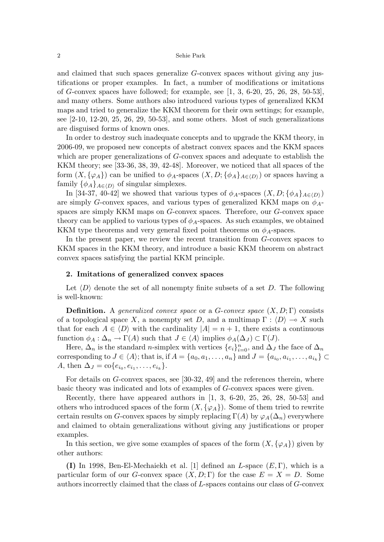and claimed that such spaces generalize *G*-convex spaces without giving any justifications or proper examples. In fact, a number of modifications or imitations of *G*-convex spaces have followed; for example, see [1, 3, 6-20, 25, 26, 28, 50-53], and many others. Some authors also introduced various types of generalized KKM maps and tried to generalize the KKM theorem for their own settings; for example, see  $[2-10, 12-20, 25, 26, 29, 50-53]$ , and some others. Most of such generalizations are disguised forms of known ones.

In order to destroy such inadequate concepts and to upgrade the KKM theory, in 2006-09, we proposed new concepts of abstract convex spaces and the KKM spaces which are proper generalizations of *G*-convex spaces and adequate to establish the KKM theory; see [33-36, 38, 39, 42-48]. Moreover, we noticed that all spaces of the form  $(X, \{\varphi_A\})$  can be unified to  $\phi_A$ -spaces  $(X, D; \{\phi_A\}_{A \in \langle D \rangle})$  or spaces having a family  $\{\phi_A\}_{A \in \langle D \rangle}$  of singular simplexes.

In [34-37, 40-42] we showed that various types of  $\phi_A$ -spaces  $(X, D; {\phi_A}_{A\in(D)})$ are simply *G*-convex spaces, and various types of generalized KKM maps on *φA*spaces are simply KKM maps on *G*-convex spaces. Therefore, our *G*-convex space theory can be applied to various types of  $\phi_A$ -spaces. As such examples, we obtained KKM type theorems and very general fixed point theorems on  $\phi_A$ -spaces.

In the present paper, we review the recent transition from *G*-convex spaces to KKM spaces in the KKM theory, and introduce a basic KKM theorem on abstract convex spaces satisfying the partial KKM principle.

## **2. Imitations of generalized convex spaces**

Let  $\langle D \rangle$  denote the set of all nonempty finite subsets of a set *D*. The following is well-known:

**Definition.** A generalized convex space or a *G*-convex space (*X, D*; Γ) consists of a topological space X, a nonempty set D, and a multimap  $\Gamma : \langle D \rangle \to X$  such that for each  $A \in \langle D \rangle$  with the cardinality  $|A| = n + 1$ , there exists a continuous function  $\phi_A : \Delta_n \to \Gamma(A)$  such that  $J \in \langle A \rangle$  implies  $\phi_A(\Delta_J) \subset \Gamma(J)$ .

Here,  $\Delta_n$  is the standard *n*-simplex with vertices  $\{e_i\}_{i=0}^n$ , and  $\Delta_J$  the face of  $\Delta_n$ corresponding to  $J \in \langle A \rangle$ ; that is, if  $A = \{a_0, a_1, \ldots, a_n\}$  and  $J = \{a_{i_0}, a_{i_1}, \ldots, a_{i_k}\}$ *A*, then  $\Delta J = \text{co}\{e_{i_0}, e_{i_1}, \ldots, e_{i_k}\}.$ 

For details on *G*-convex spaces, see [30-32, 49] and the references therein, where basic theory was indicated and lots of examples of *G*-convex spaces were given.

Recently, there have appeared authors in [1, 3, 6-20, 25, 26, 28, 50-53] and others who introduced spaces of the form  $(X, {\{\varphi_A\}})$ . Some of them tried to rewrite certain results on *G*-convex spaces by simply replacing  $\Gamma(A)$  by  $\varphi_A(\Delta_n)$  everywhere and claimed to obtain generalizations without giving any justifications or proper examples.

In this section, we give some examples of spaces of the form  $(X, {\{\varphi_A\}})$  given by other authors:

**(I)** In 1998, Ben-El-Mechaiekh et al. [1] defined an *L*-space (*E,* Γ), which is a particular form of our *G*-convex space  $(X, D; \Gamma)$  for the case  $E = X = D$ . Some authors incorrectly claimed that the class of *L*-spaces contains our class of *G*-convex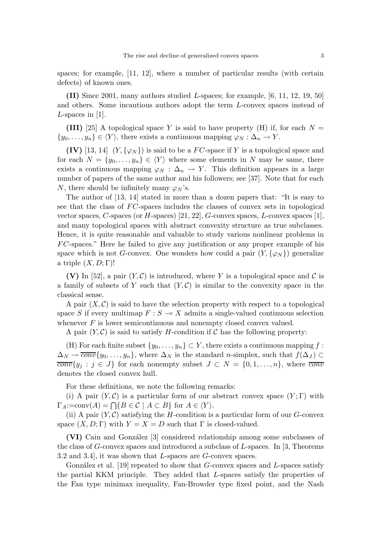spaces; for example, [11, 12], where a number of particular results (with certain defects) of known ones.

**(II)** Since 2001, many authors studied *L*-spaces; for example, [6, 11, 12, 19, 50] and others. Some incautious authors adopt the term *L*-convex spaces instead of *L*-spaces in [1].

**(III)** [25] A topological space *Y* is said to have property (H) if, for each  $N =$  $\{y_0, \ldots, y_n\} \in \langle Y \rangle$ , there exists a continuous mapping  $\varphi_N : \Delta_n \to Y$ .

**(IV)** [13, 14]  $(Y, \{\varphi_N\})$  is said to be a *FC*-space if *Y* is a topological space and for each  $N = \{y_0, \ldots, y_n\} \in \langle Y \rangle$  where some elements in *N* may be same, there exists a continuous mapping  $\varphi_N$  :  $\Delta_n \to Y$ . This definition appears in a large number of papers of the same author and his followers; see [37]. Note that for each *N*, there should be infinitely many  $\varphi_N$ 's.

The author of [13, 14] stated in more than a dozen papers that: "It is easy to see that the class of *FC*-spaces includes the classes of convex sets in topological vector spaces, *C*-spaces (or *H*-spaces) [21, 22], *G*-convex spaces, *L*-convex spaces [1], and many topological spaces with abstract convexity structure as true subclasses. Hence, it is quite reasonable and valuable to study various nonlinear problems in *F C*-spaces." Here he failed to give any justification or any proper example of his space which is not *G*-convex. One wonders how could a pair  $(Y, \{\varphi_N\})$  generalize a triple  $(X, D; \Gamma)$ !

**(V)** In [52], a pair  $(Y, C)$  is introduced, where Y is a topological space and C is a family of subsets of Y such that  $(Y, \mathcal{C})$  is similar to the convexity space in the classical sense.

A pair  $(X, \mathcal{C})$  is said to have the selection property with respect to a topological space *S* if every multimap  $F : S \to X$  admits a single-valued continuous selection whenever *F* is lower semicontinuous and nonempty closed convex valued.

A pair  $(Y, \mathcal{C})$  is said to satisfy *H*-condition if  $\mathcal{C}$  has the following property:

(H) For each finite subset  $\{y_0, \ldots, y_n\} \subset Y$ , there exists a continuous mapping  $f$ :  $\Delta_N \to \overline{conv} \{y_0, \ldots, y_n\}$ , where  $\Delta_N$  is the standard *n*-simplex, such that  $f(\Delta_J) \subset$  $\overline{conv}\{y_j : j \in J\}$  for each nonempty subset  $J \subset N = \{0, 1, \ldots, n\}$ , where  $\overline{conv}$ denotes the closed convex hull.

For these definitions, we note the following remarks:

(i) A pair  $(Y, \mathcal{C})$  is a particular form of our abstract convex space  $(Y, \Gamma)$  with  $\Gamma_A$ :=conv $(A) = \bigcap \{ B \in \mathcal{C} \mid A \subset B \}$  for  $A \in \langle Y \rangle$ .

(ii) A pair  $(Y, \mathcal{C})$  satisfying the *H*-condition is a particular form of our *G*-convex space  $(X, D; \Gamma)$  with  $Y = X = D$  such that  $\Gamma$  is closed-valued.

**(VI)** Cain and Gonz´alez [3] considered relationship among some subclasses of the class of *G*-convex spaces and introduced a subclass of *L*-spaces. In [3, Theorems 3.2 and 3.4], it was shown that *L*-spaces are *G*-convex spaces.

González et al. [19] repeated to show that *G*-convex spaces and *L*-spaces satisfy the partial KKM principle. They added that *L*-spaces satisfy the properties of the Fan type minimax inequality, Fan-Browder type fixed point, and the Nash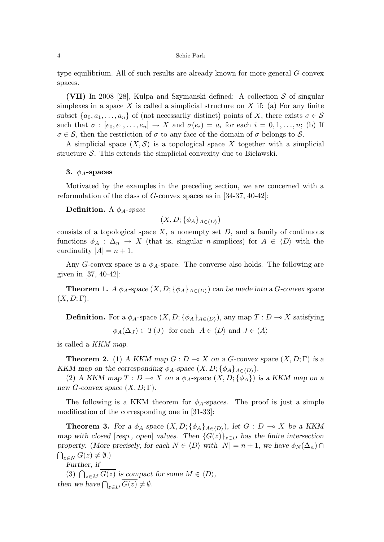type equilibrium. All of such results are already known for more general *G*-convex spaces.

**(VII)** In 2008 [28], Kulpa and Szymanski defined: A collection S of singular simplexes in a space  $X$  is called a simplicial structure on  $X$  if: (a) For any finite subset  $\{a_0, a_1, \ldots, a_n\}$  of (not necessarily distinct) points of *X*, there exists  $\sigma \in \mathcal{S}$ such that  $\sigma : [e_0, e_1, \ldots, e_n] \to X$  and  $\sigma(e_i) = a_i$  for each  $i = 0, 1, \ldots, n$ ; (b) If  $\sigma \in \mathcal{S}$ , then the restriction of  $\sigma$  to any face of the domain of  $\sigma$  belongs to  $\mathcal{S}$ .

A simplicial space  $(X, \mathcal{S})$  is a topological space X together with a simplicial structure  $S$ . This extends the simplicial convexity due to Bielawski.

## **3.** *φA***-spaces**

Motivated by the examples in the preceding section, we are concerned with a reformulation of the class of *G*-convex spaces as in [34-37, 40-42]:

**Definition.** A  $\phi_A$ -space

$$
(X, D; \{\phi_A\}_{A \in \langle D \rangle})
$$

consists of a topological space  $X$ , a nonempty set  $D$ , and a family of continuous functions  $\phi_A : \Delta_n \to X$  (that is, singular *n*-simplices) for  $A \in \langle D \rangle$  with the cardinality  $|A| = n + 1$ .

Any *G*-convex space is a  $\phi_A$ -space. The converse also holds. The following are given in [37, 40-42]:

**Theorem 1.** *A*  $\phi_A$ -space  $(X, D; {\phi_A}_{A \in (D)})$  can be made into a *G*-convex space  $(X, D; \Gamma)$ .

**Definition.** For a  $\phi_A$ -space  $(X, D; {\phi_A}_{A \in (D)})$ , any map  $T: D \to X$  satisfying

 $\phi_A(\Delta_J) \subset T(J)$  for each  $A \in \langle D \rangle$  and  $J \in \langle A \rangle$ 

is called a KKM map.

**Theorem 2.** (1) *A KKM map*  $G: D \to X$  *on a*  $G$ *-convex space*  $(X, D; \Gamma)$  *is a KKM* map on the corresponding  $\phi_A$ -space  $(X, D; {\phi_A}_{A \in (D)})$ .

(2) *A KKM map*  $T: D \to X$  *on a*  $\phi_A$ -space  $(X, D; \{\phi_A\})$  *is a KKM map on a new G-convex space*  $(X, D; \Gamma)$ *.* 

The following is a KKM theorem for  $\phi_A$ -spaces. The proof is just a simple modification of the corresponding one in [31-33]:

**Theorem 3.** For a  $\phi_A$ -space  $(X, D; {\phi_A}_{A \in (D)})$ , let  $G : D \to X$  be a KKM *map with closed* [*resp., open*] *values. Then*  $\{G(z)\}_{z\in D}$  *has the finite intersection property.* (*More precisely, for each*  $N \in \langle D \rangle$  *with*  $|N| = n + 1$ *, we have*  $\phi_N(\Delta_n) \cap$  $\bigcap_{z \in N} G(z) \neq \emptyset$ .)

*Further, if*

(3)  $\bigcap_{z \in M} \overline{G(z)}$  *is compact for some*  $M \in \langle D \rangle$ *, then we have*  $\bigcap_{z \in D} \overline{G(z)} \neq \emptyset$ *.*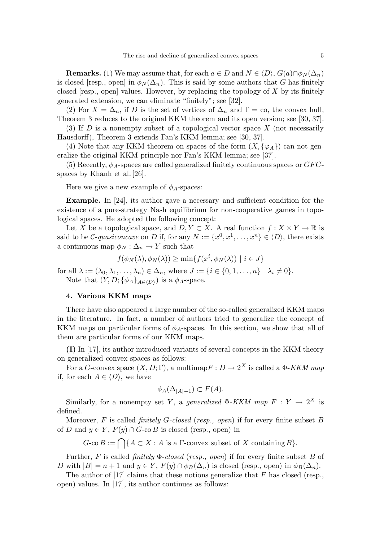**Remarks.** (1) We may assume that, for each  $a \in D$  and  $N \in \langle D \rangle$ ,  $G(a) \cap \phi_N(\Delta_n)$ is closed [resp., open] in  $\phi_N(\Delta_n)$ . This is said by some authors that *G* has finitely closed [resp., open] values. However, by replacing the topology of *X* by its finitely generated extension, we can eliminate "finitely"; see [32].

(2) For  $X = \Delta_n$ , if *D* is the set of vertices of  $\Delta_n$  and  $\Gamma = \infty$ , the convex hull, Theorem 3 reduces to the original KKM theorem and its open version; see [30, 37].

(3) If *D* is a nonempty subset of a topological vector space *X* (not necessarily Hausdorff), Theorem 3 extends Fan's KKM lemma; see [30, 37].

(4) Note that any KKM theorem on spaces of the form  $(X, {\varphi_A})$  can not generalize the original KKM principle nor Fan's KKM lemma; see [37].

(5) Recently,  $\phi_A$ -spaces are called generalized finitely continuous spaces or  $GFC$ spaces by Khanh et al. [26].

Here we give a new example of  $\phi_A$ -spaces:

**Example.** In [24], its author gave a necessary and sufficient condition for the existence of a pure-strategy Nash equilibrium for non-cooperative games in topological spaces. He adopted the following concept:

Let *X* be a topological space, and  $D, Y \subset X$ . A real function  $f: X \times Y \to \mathbb{R}$  is said to be *C*-quasiconcave on *D* if, for any  $N := \{x^0, x^1, \ldots, x^n\} \in \langle D \rangle$ , there exists a continuous map  $\phi_N : \Delta_n \to Y$  such that

$$
f(\phi_N(\lambda), \phi_N(\lambda)) \ge \min\{f(x^i, \phi_N(\lambda)) \mid i \in J\}
$$

for all  $\lambda := (\lambda_0, \lambda_1, \ldots, \lambda_n) \in \Delta_n$ , where  $J := \{i \in \{0, 1, \ldots, n\} \mid \lambda_i \neq 0\}.$ Note that  $(Y, D; {\phi_A}_{A \in \langle D \rangle})$  is a  $\phi_A$ -space.

## **4. Various KKM maps**

There have also appeared a large number of the so-called generalized KKM maps in the literature. In fact, a number of authors tried to generalize the concept of KKM maps on particular forms of  $\phi_A$ -spaces. In this section, we show that all of them are particular forms of our KKM maps.

**(I)** In [17], its author introduced variants of several concepts in the KKM theory on generalized convex spaces as follows:

For a *G*-convex space  $(X, D; \Gamma)$ , a multimap  $F: D \to 2^X$  is called a  $\Phi$ -*KKM man* if, for each  $A \in \langle D \rangle$ , we have

$$
\phi_A(\Delta_{|A|-1}) \subset F(A).
$$

Similarly, for a nonempty set *Y*, a *generalized*  $\Phi$ -*KKM* map  $F: Y \to 2^X$  is defined.

Moreover, *F* is called finitely *G*-closed (resp., open) if for every finite subset *B* of *D* and  $y \in Y$ ,  $F(y) \cap G$ -co*B* is closed (resp., open) in

 $G$ -co  $B := \bigcap \{A \subset X : A \text{ is a } \Gamma \text{-convex subset of } X \text{ containing } B\}.$ 

Further, *F* is called finitely Φ-closed (resp., open) if for every finite subset *B* of *D* with  $|B| = n + 1$  and  $y \in Y$ ,  $F(y) \cap \phi_B(\Delta_n)$  is closed (resp., open) in  $\phi_B(\Delta_n)$ .

The author of [17] claims that these notions generalize that *F* has closed (resp., open) values. In [17], its author continues as follows: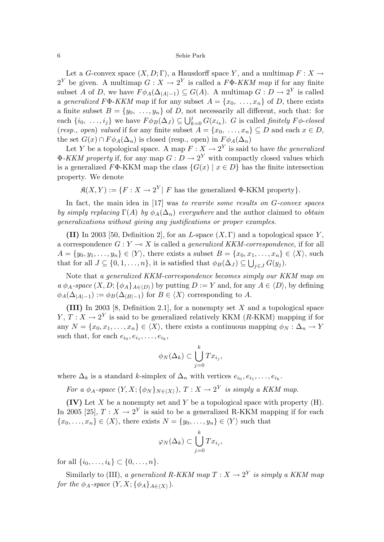Let a *G*-convex space  $(X, D; \Gamma)$ , a Hausdorff space *Y*, and a multimap  $F: X \to Y$  $2^Y$  be given. A multimap  $G: X \to 2^Y$  is called a  $F\Phi$ -KKM map if for any finite subset *A* of *D*, we have  $F \phi_A(\Delta_{|A|-1}) \subseteq G(A)$ . A multimap  $G : D \to 2^Y$  is called a generalized  $F\Phi$ -KKM map if for any subset  $A = \{x_0, \ldots, x_n\}$  of *D*, there exists a finite subset  $B = \{y_0, \ldots, y_n\}$  of *D*, not necessarily all different, such that: for each  $\{i_0, \ldots, i_j\}$  we have  $F \phi_B(\Delta_J) \subseteq \bigcup_{k=0}^j G(x_{i_k})$ . *G* is called *finitely*  $F \phi$ -closed (resp., open) valued if for any finite subset  $A = \{x_0, \ldots, x_n\} \subseteq D$  and each  $x \in D$ , the set  $G(x) \cap F\phi_A(\Delta_n)$  is closed (resp., open) in  $F\phi_A(\Delta_n)$ 

Let *Y* be a topological space. A map  $F: X \to 2^Y$  is said to have the generalized  $\Phi$ -*KKM property* if, for any map  $G: D \to 2^Y$  with compactly closed values which is a generalized  $F\Phi$ -KKM map the class  $\{G(x) | x \in D\}$  has the finite intersection property. We denote

 $\mathfrak{K}(X, Y) := \{F : X \to 2^Y \mid F \text{ has the generalized } \Phi\text{-KKM property}\}.$ 

In fact, the main idea in [17] was to rewrite some results on *G*-convex spaces by simply replacing  $\Gamma(A)$  by  $\phi_A(\Delta_n)$  everywhere and the author claimed to obtain generalizations without giving any justifications or proper examples.

**(II)** In 2003 [50, Definition 2], for an *L*-space  $(X, \Gamma)$  and a topological space Y, a correspondence  $G: Y \to X$  is called a *generalized KKM-correspondence*, if for all  $A = \{y_0, y_1, \ldots, y_n\} \in \langle Y \rangle$ , there exists a subset  $B = \{x_0, x_1, \ldots, x_n\} \in \langle X \rangle$ , such that for all  $J \subseteq \{0, 1, ..., n\}$ , it is satisfied that  $\phi_B(\Delta_J) \subseteq \bigcup_{j \in J} G(y_j)$ .

Note that a generalized KKM-correspondence becomes simply our KKM map on  $a \phi_A$ -space  $(X, D; {\phi_A}_{A \in D})$  by putting  $D := Y$  and, for any  $A \in \langle D \rangle$ , by defining  $\phi_A(\Delta_{|A|-1}) := \phi_B(\Delta_{|B|-1})$  for  $B \in \langle X \rangle$  corresponding to *A*.

**(III)** In 2003 [8, Definition 2.1], for a nonempty set *X* and a topological space *Y*,  $T: X \to 2^Y$  is said to be generalized relatively KKM (*R*-KKM) mapping if for any  $N = \{x_0, x_1, \ldots, x_n\} \in \langle X \rangle$ , there exists a continuous mapping  $\phi_N : \Delta_n \to Y$ such that, for each  $e_{i_0}, e_{i_1}, \ldots, e_{i_k}$ ,

$$
\phi_N(\Delta_k) \subset \bigcup_{j=0}^k Tx_{i_j},
$$

where  $\Delta_k$  is a standard *k*-simplex of  $\Delta_n$  with vertices  $e_{i_0}, e_{i_1}, \ldots, e_{i_k}$ .

For a  $\phi_A$ -space  $(Y, X; {\phi_N}_{N \in (X)})$ ,  $T: X \to 2^Y$  is simply a KKM map.

**(IV)** Let *X* be a nonempty set and *Y* be a topological space with property (H). In 2005 [25],  $T: X \to 2^Y$  is said to be a generalized R-KKM mapping if for each  ${x_0, \ldots, x_n} \in \langle X \rangle$ , there exists  $N = {y_0, \ldots, y_n} \in \langle Y \rangle$  such that

$$
\varphi_N(\Delta_k) \subset \bigcup_{j=0}^k Tx_{i_j},
$$

for all  $\{i_0, \ldots, i_k\} \subset \{0, \ldots, n\}.$ 

Similarly to (III), a generalized R-KKM map  $T : X \to 2^Y$  is simply a KKM map for the  $\phi_A$ -space  $(Y, X; {\phi_A}_{A \in (X)})$ .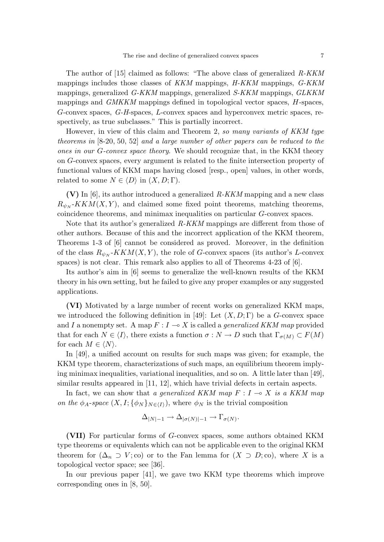The author of [15] claimed as follows: "The above class of generalized  $R-KKM$ mappings includes those classes of KKM mappings, H-KKM mappings, G-KKM mappings, generalized G-KKM mappings, generalized S-KKM mappings, GLKKM mappings and GMKKM mappings defined in topological vector spaces, *H*-spaces, *G*-convex spaces, G-H-spaces, *L*-convex spaces and hyperconvex metric spaces, respectively, as true subclasses." This is partially incorrect.

However, in view of this claim and Theorem 2, so many variants of KKM type theorems in [8-20, 50, 52] and a large number of other papers can be reduced to the ones in our *G*-convex space theory. We should recognize that, in the KKM theory on *G*-convex spaces, every argument is related to the finite intersection property of functional values of KKM maps having closed [resp., open] values, in other words, related to some  $N \in \langle D \rangle$  in  $(X, D; \Gamma)$ .

**(V)** In [6], its author introduced a generalized R-KKM mapping and a new class  $R_{\psi_N}$ -*KKM*(*X,Y*), and claimed some fixed point theorems, matching theorems, coincidence theorems, and minimax inequalities on particular *G*-convex spaces.

Note that its author's generalized  $R-KKM$  mappings are different from those of other authors. Because of this and the incorrect application of the KKM theorem, Theorems 1-3 of [6] cannot be considered as proved. Moreover, in the definition of the class  $R_{\psi_N}$ - $KKM(X, Y)$ , the role of *G*-convex spaces (its author's *L*-convex spaces) is not clear. This remark also applies to all of Theorems 4-23 of  $[6]$ .

Its author's aim in [6] seems to generalize the well-known results of the KKM theory in his own setting, but he failed to give any proper examples or any suggested applications.

**(VI)** Motivated by a large number of recent works on generalized KKM maps, we introduced the following definition in [49]: Let (*X, D*; Γ) be a *G*-convex space and *I* a nonempty set. A map  $F: I \to X$  is called a *generalized KKM map* provided that for each  $N \in \langle I \rangle$ , there exists a function  $\sigma : N \to D$  such that  $\Gamma_{\sigma(M)} \subset F(M)$ for each  $M \in \langle N \rangle$ .

In [49], a unified account on results for such maps was given; for example, the KKM type theorem, characterizations of such maps, an equilibrium theorem implying minimax inequalities, variational inequalities, and so on. A little later than [49], similar results appeared in [11, 12], which have trivial defects in certain aspects.

In fact, we can show that a generalized KKM map  $F: I \to X$  is a KKM map on the  $\phi_A$ -space  $(X, I; {\phi_N}_{N \in (I)})$ , where  $\phi_N$  is the trivial composition

$$
\Delta_{|N|-1} \to \Delta_{|\sigma(N)|-1} \to \Gamma_{\sigma(N)}.
$$

**(VII)** For particular forms of *G*-convex spaces, some authors obtained KKM type theorems or equivalents which can not be applicable even to the original KKM theorem for  $(\Delta_n \supset V; \text{co})$  or to the Fan lemma for  $(X \supset D; \text{co})$ , where X is a topological vector space; see [36].

In our previous paper [41], we gave two KKM type theorems which improve corresponding ones in [8, 50].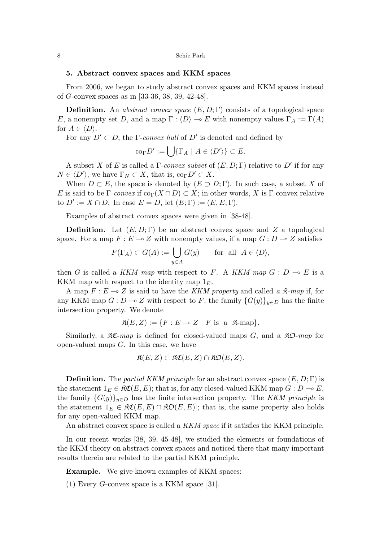# **5. Abstract convex spaces and KKM spaces**

From 2006, we began to study abstract convex spaces and KKM spaces instead of *G*-convex spaces as in [33-36, 38, 39, 42-48].

**Definition.** An abstract convex space  $(E, D; \Gamma)$  consists of a topological space *E*, a nonempty set *D*, and a map  $\Gamma : \langle D \rangle \to E$  with nonempty values  $\Gamma_A := \Gamma(A)$ for  $A \in \langle D \rangle$ .

For any  $D' \subset D$ , the Γ-convex hull of  $D'$  is denoted and defined by

$$
\mathrm{co}_{\Gamma} D' := \bigcup \{ \Gamma_A \mid A \in \langle D' \rangle \} \subset E.
$$

A subset *X* of *E* is called a  $\Gamma$ -convex subset of  $(E, D; \Gamma)$  relative to  $D'$  if for any  $N \in \langle D' \rangle$ , we have  $\Gamma_N \subset X$ , that is, co<sub>Γ</sub>*D'*  $\subset X$ .

When  $D \subset E$ , the space is denoted by  $(E \supset D; \Gamma)$ . In such case, a subset X of *E* is said to be Γ-convex if  $\text{co}_{\Gamma}(X \cap D) \subset X$ ; in other words, X is Γ-convex relative to  $D' := X \cap D$ . In case  $E = D$ , let  $(E; \Gamma) := (E, E; \Gamma)$ .

Examples of abstract convex spaces were given in [38-48].

**Definition.** Let  $(E, D; \Gamma)$  be an abstract convex space and Z a topological space. For a map  $F: E \to Z$  with nonempty values, if a map  $G: D \to Z$  satisfies

$$
F(\Gamma_A) \subset G(A) := \bigcup_{y \in A} G(y) \quad \text{for all } A \in \langle D \rangle,
$$

then *G* is called a KKM map with respect to *F*. A KKM map  $G: D \to E$  is a KKM map with respect to the identity map 1*E*.

A map  $F: E \to Z$  is said to have the *KKM property* and called a  $\mathfrak{K}\text{-}map$  if, for any KKM map  $G: D \to Z$  with respect to *F*, the family  ${G(y)}_{y \in D}$  has the finite intersection property. We denote

$$
\mathfrak{K}(E, Z) := \{ F : E \multimap Z \mid F \text{ is a } \mathfrak{K}\text{-map} \}.
$$

Similarly, a  $\mathfrak{K}\mathfrak{C}$ -map is defined for closed-valued maps *G*, and a  $\mathfrak{K}\mathfrak{O}$ -map for open-valued maps *G*. In this case, we have

$$
\mathfrak{K}(E,Z)\subset \mathfrak{KC}(E,Z)\cap \mathfrak{KD}(E,Z).
$$

**Definition.** The partial KKM principle for an abstract convex space (*E,D*; Γ) is the statement  $1_E \in \mathcal{RC}(E, E)$ ; that is, for any closed-valued KKM map  $G : D \to E$ , the family  ${G(y)}_{y\in D}$  has the finite intersection property. The KKM principle is the statement  $1_E \in \mathfrak{RC}(E, E) \cap \mathfrak{RO}(E, E)$ ; that is, the same property also holds for any open-valued KKM map.

An abstract convex space is called a KKM space if it satisfies the KKM principle.

In our recent works [38, 39, 45-48], we studied the elements or foundations of the KKM theory on abstract convex spaces and noticed there that many important results therein are related to the partial KKM principle.

**Example.** We give known examples of KKM spaces:

(1) Every *G*-convex space is a KKM space [31].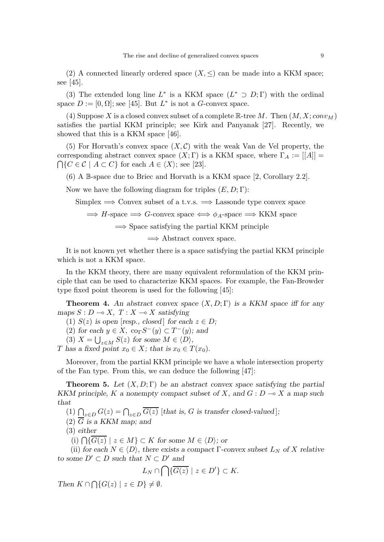(2) A connected linearly ordered space  $(X, \leq)$  can be made into a KKM space; see [45].

(3) The extended long line  $L^*$  is a KKM space  $(L^* \supset D; \Gamma)$  with the ordinal space  $D := [0, \Omega]$ ; see [45]. But  $L^*$  is not a *G*-convex space.

(4) Suppose X is a closed convex subset of a complete  $\mathbb{R}$ -tree M. Then  $(M, X; conv_M)$ satisfies the partial KKM principle; see Kirk and Panyanak [27]. Recently, we showed that this is a KKM space [46].

(5) For Horvath's convex space  $(X, \mathcal{C})$  with the weak Van de Vel property, the corresponding abstract convex space  $(X; \Gamma)$  is a KKM space, where  $\Gamma_A := |[A]| =$  $\bigcap \{C \in \mathcal{C} \mid A \subset C\}$  for each  $A \in \langle X \rangle$ ; see [23].

(6) A B-space due to Briec and Horvath is a KKM space [2, Corollary 2.2].

Now we have the following diagram for triples  $(E, D; \Gamma)$ :

Simplex  $\implies$  Convex subset of a t.v.s.  $\implies$  Lassonde type convex space

$$
\implies
$$
 *H*-space  $\implies$  *G*-convex space  $\iff \phi_A$ -space  $\implies$  KKM space

 $\Rightarrow$  Space satisfying the partial KKM principle

 $\implies$  Abstract convex space.

It is not known yet whether there is a space satisfying the partial KKM principle which is not a KKM space.

In the KKM theory, there are many equivalent reformulation of the KKM principle that can be used to characterize KKM spaces. For example, the Fan-Browder type fixed point theorem is used for the following [45]:

**Theorem 4.** *An abstract convex space* (*X, D*; Γ) *is a KKM space iff for any maps*  $S: D \to X$ ,  $T: X \to X$  *satisfying* 

(1)  $S(z)$  *is open* [*resp., closed*] *for each*  $z \in D$ ;

 $(2)$  *for each*  $y \in X$ ,  $\operatorname{co}_{\Gamma} S^{-}(y) \subset T^{-}(y)$ *; and* 

 $(3)$   $X = \bigcup_{z \in M} S(z)$  for some  $M \in \langle D \rangle$ ,

*T* has a fixed point  $x_0 \in X$ ; that is  $x_0 \in T(x_0)$ .

Moreover, from the partial KKM principle we have a whole intersection property of the Fan type. From this, we can deduce the following [47]:

**Theorem 5.** *Let* (*X, D*; Γ) *be an abstract convex space satisfying the partial KKM principle, K a nonempty compact subset of X, and*  $G: D \to X$  *a map such that*

(1)  $\bigcap_{z \in D} G(z) = \bigcap_{z \in D} \overline{G(z)}$  [*that is, G is transfer closed-valued*];

(2) *G is a KKM map; and*

(3) *either*

(i)  $\bigcap \{ \overline{G(z)} \mid z \in M \}$  ⊂ *K* for some  $M \in \langle D \rangle$ ; or

(ii) *for each*  $N \in \langle D \rangle$ *, there exists a compact* Γ*-convex subset*  $L_N$  *of*  $X$  *relative to some*  $D' ⊂ D$  *such that*  $N ⊂ D'$  *and* 

$$
L_N \cap \bigcap \{ \overline{G(z)} \mid z \in D' \} \subset K.
$$

*Then*  $K \cap \bigcap \{G(z) \mid z \in D\} \neq \emptyset$ .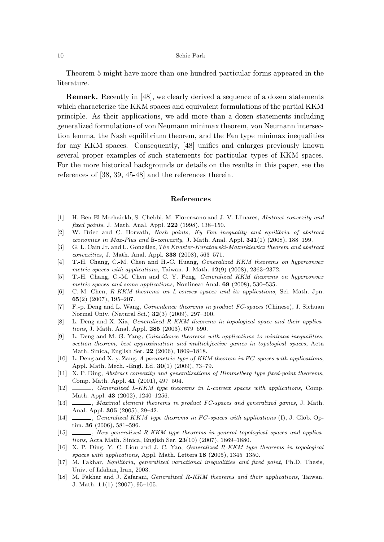Theorem 5 might have more than one hundred particular forms appeared in the literature.

**Remark.** Recently in [48], we clearly derived a sequence of a dozen statements which characterize the KKM spaces and equivalent formulations of the partial KKM principle. As their applications, we add more than a dozen statements including generalized formulations of von Neumann minimax theorem, von Neumann intersection lemma, the Nash equilibrium theorem, and the Fan type minimax inequalities for any KKM spaces. Consequently, [48] unifies and enlarges previously known several proper examples of such statements for particular types of KKM spaces. For the more historical backgrounds or details on the results in this paper, see the references of [38, 39, 45-48] and the references therein.

## **References**

- [1] H. Ben-El-Mechaiekh, S. Chebbi, M. Florenzano and J.-V. Llinares, *Abstract convexity and fixed points*, J. Math. Anal. Appl. **222** (1998), 138–150.
- [2] W. Briec and C. Horvath, *Nash points, Ky Fan inequality and equilibria of abstract economies in Max-Plus and* B*-convexity*, J. Math. Anal. Appl. **341**(1) (2008), 188–199.
- [3] G. L. Cain Jr. and L. Gonz´alez, *The Knaster-Kuratowski-Mazurkiewicz theorem and abstract convexities*, J. Math. Anal. Appl. **338** (2008), 563–571.
- [4] T.-H. Chang, C.-M. Chen and H.-C. Huang, *Generalized KKM theorems on hyperconvex metric spaces with applications*, Taiwan. J. Math. **12**(9) (2008), 2363–2372.
- [5] T.-H. Chang, C.-M. Chen and C. Y. Peng, *Generalized KKM theorems on hyperconvex metric spaces and some applications*, Nonlinear Anal. **69** (2008), 530–535.
- [6] C.-M. Chen, *R-KKM theorems on L-convex spaces and its applications*, Sci. Math. Jpn. **65**(2) (2007), 195–207.
- [7] F.-p. Deng and L. Wang, *Coincidence theorems in product FC-spaces* (Chinese), J. Sichuan Normal Univ. (Natural Sci.) **32**(3) (2009), 297–300.
- [8] L. Deng and X. Xia, *Generalized R-KKM theorems in topological space and their applications*, J. Math. Anal. Appl. **285** (2003), 679–690.
- [9] L. Deng and M. G. Yang, *Coincidence theorems with applications to minimax inequalities, section theorem, best approximation and multiobjective games in topological spaces*, Acta Math. Sinica, English Ser. **22** (2006), 1809–1818.
- [10] L. Deng and X.-y. Zang, *A parametric type of KKM theorem in FC-spaces with applications*, Appl. Math. Mech. -Engl. Ed. **30**(1) (2009), 73–79.
- [11] X. P. Ding, *Abstract convexity and generalizations of Himmelberg type fixed-point theorems*, Comp. Math. Appl. **41** (2001), 497–504.
- [12] , *Generalized L-KKM type theorems in L-convex spaces with applications*, Comp. Math. Appl. **43** (2002), 1240–1256.
- [13] , *Maximal element theorems in product FC-spaces and generalized games*, J. Math. Anal. Appl. **305** (2005), 29–42.
- [14] , *Generalized KKM type theorems in FC-spaces with applications* (I), J. Glob. Optim. **36** (2006), 581–596.
- [15] , *New generalized R-KKM type theorems in general topological spaces and applications*, Acta Math. Sinica, English Ser. **23**(10) (2007), 1869–1880.
- [16] X. P. Ding, Y. C. Liou and J. C. Yao, *Generalized R-KKM type theorems in topological spaces with applications*, Appl. Math. Letters **18** (2005), 1345–1350.
- [17] M. Fakhar, *Equilibria, generalized variational inequalities and fixed point*, Ph.D. Thesis, Univ. of Isfahan, Iran, 2003.
- [18] M. Fakhar and J. Zafarani, *Generalized R-KKM theorems and their applications*, Taiwan. J. Math. **11**(1) (2007), 95–105.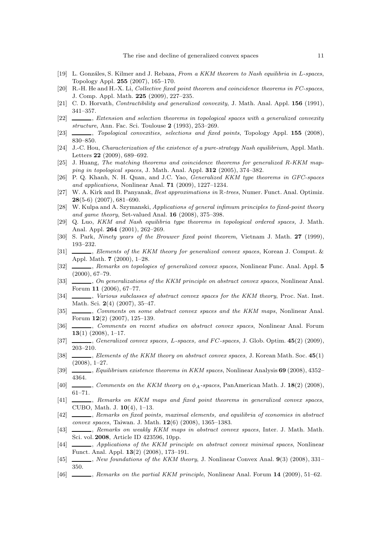- [19] L. Gonz´ales, S. Kilmer and J. Rebaza, *From a KKM theorem to Nash equilibria in* L*-spaces*, Topology Appl. **255** (2007), 165–170.
- [20] R.-H. He and H.-X. Li, *Collective fixed point theorem and coincidence theorems in FC-spaces*, J. Comp. Appl. Math. **225** (2009), 227–235.
- [21] C. D. Horvath, *Contractibility and generalized convexity*, J. Math. Anal. Appl. **156** (1991), 341–357.
- [22] , *Extension and selection theorems in topological spaces with a generalized convexity structure*, Ann. Fac. Sci. Toulouse **2** (1993), 253–269.
- [23] , *Topological convexities, selections and fixed points*, Topology Appl. **155** (2008), 830–850.
- [24] J.-C. Hou, *Characterization of the existence of a pure-strategy Nash equilibrium*, Appl. Math. Letters **22** (2009), 689–692.
- [25] J. Huang, *The matching theorems and coincidence theorems for generalized R-KKM mapping in topological spaces*, J. Math. Anal. Appl. **312** (2005), 374–382.
- [26] P. Q. Khanh, N. H. Quan, and J.C. Yao, *Generalized KKM type theorems in GFC-spaces and applications*, Nonlinear Anal. **71** (2009), 1227–1234.
- [27] W. A. Kirk and B. Panyanak, *Best approximations in* R*-trees*, Numer. Funct. Anal. Optimiz. **28**(5-6) (2007), 681–690.
- [28] W. Kulpa and A. Szymanski, *Applications of general infimum principles to fixed-point theory and game theory*, Set-valued Anal. **16** (2008), 375–398.
- [29] Q. Luo, *KKM and Nash equilibria type theorems in topological ordered spaces,* J. Math. Anal. Appl. **264** (2001), 262–269.
- [30] S. Park, *Ninety years of the Brouwer fixed point theorem*, Vietnam J. Math. **27** (1999), 193–232.
- [31] , *Elements of the KKM theory for generalized convex spaces*, Korean J. Comput. & Appl. Math. **7** (2000), 1–28.
- [32] , *Remarks on topologies of generalized convex spaces*, Nonlinear Func. Anal. Appl. **5** (2000), 67–79.
- [33] , *On generalizations of the KKM principle on abstract convex spaces*, Nonlinear Anal. Forum **11** (2006), 67–77.
- [34]  $\Box$ , *Various subclasses of abstract convex spaces for the KKM theory*, Proc. Nat. Inst. Math. Sci. **2**(4) (2007), 35–47.
- [35] , *Comments on some abstract convex spaces and the KKM maps*, Nonlinear Anal. Forum **12**(2) (2007), 125–139.
- [36] , *Comments on recent studies on abstract convex spaces*, Nonlinear Anal. Forum **13**(1) (2008), 1–17.
- [37] , *Generalized convex spaces,* L*-spaces, and* F C*-spaces*, J. Glob. Optim. **45**(2) (2009), 203–210.
- [38] , *Elements of the KKM theory on abstract convex spaces*, J. Korean Math. Soc. **45**(1) (2008), 1–27.
- [39] , *Equilibrium existence theorems in KKM spaces*, Nonlinear Analysis **69** (2008), 4352– 4364.
- [40] , *Comments on the KKM theory on* φ*A-spaces*, PanAmerican Math. J. **18**(2) (2008), 61–71.
- [41] , *Remarks on KKM maps and fixed point theorems in generalized convex spaces*, CUBO, Math. J. **10**(4), 1–13.
- [42] , *Remarks on fixed points, maximal elements, and equilibria of economies in abstract convex spaces*, Taiwan. J. Math. **12**(6) (2008), 1365–1383.
- [43] , *Remarks on weakly KKM maps in abstract convex spaces*, Inter. J. Math. Math. Sci. vol. **2008**, Article ID 423596, 10pp.
- [44] , *Applications of the KKM principle on abstract convex minimal spaces*, Nonlinear Funct. Anal. Appl. **13**(2) (2008), 173–191.
- [45] , *New foundations of the KKM theory*, J. Nonlinear Convex Anal. **9**(3) (2008), 331– 350.
- [46] , *Remarks on the partial KKM principle*, Nonlinear Anal. Forum **14** (2009), 51–62.